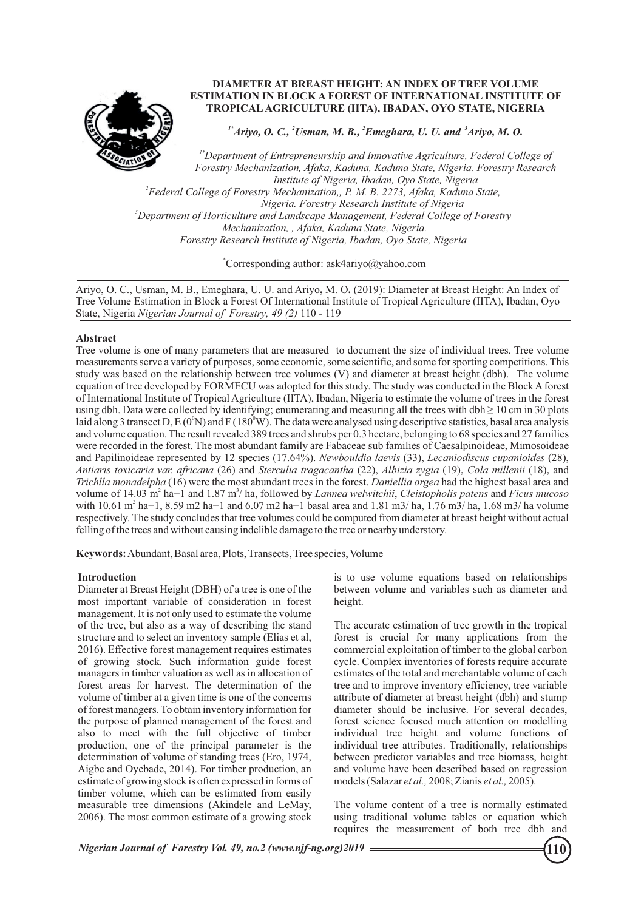

# **DIAMETER AT BREAST HEIGHT: AN INDEX OF TREE VOLUME ESTIMATION IN BLOCK A FOREST OF INTERNATIONAL INSTITUTE OF TROPICALAGRICULTURE (IITA), IBADAN, OYO STATE, NIGERIA**

 $I^*$ Ariyo, O. C., <sup>2</sup>Usman, M. B., <sup>2</sup>Emeghara, U. U. and <sup>3</sup>Ariyo, M. O.

*<sup>3</sup>Department of Horticulture and Landscape Management, Federal College of Forestry 1\*Department of Entrepreneurship and Innovative Agriculture, Federal College of Forestry Mechanization, Afaka, Kaduna, Kaduna State, Nigeria. Forestry Research Institute of Nigeria, Ibadan, Oyo State, Nigeria 2 Federal College of Forestry Mechanization,, P. M. B. 2273, Afaka, Kaduna State, Nigeria. Forestry Research Institute of Nigeria Mechanization, , Afaka, Kaduna State, Nigeria. Forestry Research Institute of Nigeria, Ibadan, Oyo State, Nigeria*

<sup>1\*</sup>Corresponding author: ask4ariyo@yahoo.com

Ariyo, O. C., Usman, M. B., Emeghara, U. U. and Ariyo**,** M. O**.** (2019): Diameter at Breast Height: An Index of Tree Volume Estimation in Block a Forest Of International Institute of Tropical Agriculture (IITA), Ibadan, Oyo State, Nigeria *Nigerian Journal of Forestry, 49 (2)* 110 - 119

# **Abstract**

Tree volume is one of many parameters that are measured to document the size of individual trees. Tree volume measurements serve a variety of purposes, some economic, some scientific, and some for sporting competitions. This study was based on the relationship between tree volumes (V) and diameter at breast height (dbh). The volume equation of tree developed by FORMECU was adopted for this study. The study was conducted in the Block Aforest of International Institute of Tropical Agriculture (IITA), Ibadan, Nigeria to estimate the volume of trees in the forest using dbh. Data were collected by identifying; enumerating and measuring all the trees with dbh ≥ 10 cm in 30 plots laid along 3 transect D, E (0<sup>o</sup>N) and F (180<sup>o</sup>W). The data were analysed using descriptive statistics, basal area analysis and volume equation. The result revealed 389 trees and shrubs per 0.3 hectare, belonging to 68 species and 27 families were recorded in the forest. The most abundant family are Fabaceae sub families of Caesalpinoideae, Mimosoideae and Papilinoideae represented by 12 species (17.64%). *Newbouldia laevis* (33), *Lecaniodiscus cupanioides* (28), *Antiaris toxicaria var. africana* (26) and *Sterculia tragacantha* (22), *Albizia zygia* (19), *Cola millenii* (18), and *Trichlla monadelpha* (16) were the most abundant trees in the forest. *Daniellia orgea* had the highest basal area and volume of 14.03 m<sup>2</sup> ha−1 and 1.87 m<sup>3</sup>/ ha, followed by *Lannea welwitchii*, *Cleistopholis patens* and *Ficus mucoso* with 10.61 m<sup>2</sup> ha−1, 8.59 m2 ha−1 and 6.07 m2 ha−1 basal area and 1.81 m3/ ha, 1.76 m3/ ha, 1.68 m3/ ha volume respectively. The study concludes that tree volumes could be computed from diameter at breast height without actual felling of the trees and without causing indelible damage to the tree or nearby understory.

**Keywords:**Abundant, Basal area, Plots, Transects, Tree species, Volume

# **Introduction**

Diameter at Breast Height (DBH) of a tree is one of the most important variable of consideration in forest management. It is not only used to estimate the volume of the tree, but also as a way of describing the stand structure and to select an inventory sample (Elias et al, 2016). Effective forest management requires estimates of growing stock. Such information guide forest managers in timber valuation as well as in allocation of forest areas for harvest. The determination of the volume of timber at a given time is one of the concerns of forest managers. To obtain inventory information for the purpose of planned management of the forest and also to meet with the full objective of timber production, one of the principal parameter is the determination of volume of standing trees (Ero, 1974, Aigbe and Oyebade, 2014). For timber production, an estimate of growing stock is often expressed in forms of timber volume, which can be estimated from easily measurable tree dimensions (Akindele and LeMay, 2006). The most common estimate of a growing stock

is to use volume equations based on relationships between volume and variables such as diameter and height.

The accurate estimation of tree growth in the tropical forest is crucial for many applications from the commercial exploitation of timber to the global carbon cycle. Complex inventories of forests require accurate estimates of the total and merchantable volume of each tree and to improve inventory efficiency, tree variable attribute of diameter at breast height (dbh) and stump diameter should be inclusive. For several decades, forest science focused much attention on modelling individual tree height and volume functions of individual tree attributes. Traditionally, relationships between predictor variables and tree biomass, height and volume have been described based on regression models (Salazar *et al.,* 2008; Zianis *et al.,* 2005).

The volume content of a tree is normally estimated using traditional volume tables or equation which requires the measurement of both tree dbh and

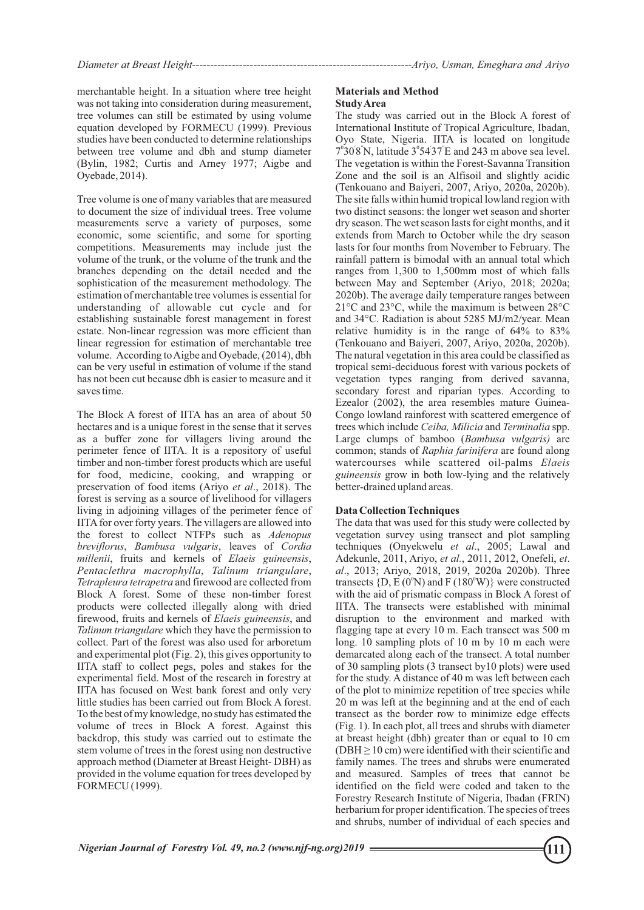merchantable height. In a situation where tree height was not taking into consideration during measurement, tree volumes can still be estimated by using volume equation developed by FORMECU (1999). Previous studies have been conducted to determine relationships between tree volume and dbh and stump diameter (Bylin, 1982; Curtis and Arney 1977; Aigbe and Oyebade, 2014).

Tree volume is one of many variables that are measured to document the size of individual trees. Tree volume measurements serve a variety of purposes, some economic, some scientific, and some for sporting competitions. Measurements may include just the volume of the trunk, or the volume of the trunk and the branches depending on the detail needed and the sophistication of the measurement methodology. The estimation of merchantable tree volumes is essential for understanding of allowable cut cycle and for establishing sustainable forest management in forest estate. Non-linear regression was more efficient than linear regression for estimation of merchantable tree volume. According to Aigbe and Oyebade, (2014), dbh can be very useful in estimation of volume if the stand has not been cut because dbh is easier to measure and it saves time.

The Block A forest of IITA has an area of about 50 hectares and is a unique forest in the sense that it serves as a buffer zone for villagers living around the perimeter fence of IITA. It is a repository of useful timber and non-timber forest products which are useful for food, medicine, cooking, and wrapping or preservation of food items (Ariyo *et al*., 2018). The forest is serving as a source of livelihood for villagers living in adjoining villages of the perimeter fence of IITA for over forty years. The villagers are allowed into the forest to collect NTFPs such as *Adenopus breviflorus*, *Bambusa vulgaris*, leaves of *Cordia millenii*, fruits and kernels of *Elaeis guineensis*, *Pentaclethra macrophylla*, *Talinum triangulare*, *Tetrapleura tetrapetra* and firewood are collected from Block A forest. Some of these non-timber forest products were collected illegally along with dried firewood, fruits and kernels of *Elaeis guineensis*, and *Talinum triangulare* which they have the permission to collect. Part of the forest was also used for arboretum and experimental plot (Fig. 2), this gives opportunity to IITA staff to collect pegs, poles and stakes for the experimental field. Most of the research in forestry at IITA has focused on West bank forest and only very little studies has been carried out from Block A forest. To the best of my knowledge, no study has estimated the volume of trees in Block A forest. Against this backdrop, this study was carried out to estimate the stem volume of trees in the forest using non destructive approach method (Diameter at Breast Height- DBH) as provided in the volume equation for trees developed by FORMECU (1999).

#### **Materials and Method Study Area**

The study was carried out in the Block A forest of International Institute of Tropical Agriculture, Ibadan, Oyo State, Nigeria. IITA is located on longitude  $7^{\circ}30'8'$ N, latitude  $3^{\circ}54'37'E$  and 243 m above sea level. The vegetation is within the Forest-Savanna Transition Zone and the soil is an Alfisoil and slightly acidic (Tenkouano and Baiyeri, 2007, Ariyo, 2020a, 2020b). The site falls within humid tropical lowland region with two distinct seasons: the longer wet season and shorter dry season. The wet season lasts for eight months, and it extends from March to October while the dry season lasts for four months from November to February. The rainfall pattern is bimodal with an annual total which ranges from 1,300 to 1,500mm most of which falls between May and September (Ariyo, 2018; 2020a; 2020b). The average daily temperature ranges between 21°C and 23°C, while the maximum is between 28°C and 34°C. Radiation is about 5285 MJ/m2/year. Mean relative humidity is in the range of 64% to 83% (Tenkouano and Baiyeri, 2007, Ariyo, 2020a, 2020b). The natural vegetation in this area could be classified as tropical semi-deciduous forest with various pockets of vegetation types ranging from derived savanna, secondary forest and riparian types. According to Ezealor (2002), the area resembles mature Guinea-Congo lowland rainforest with scattered emergence of trees which include *Ceiba, Milicia* and *Terminalia* spp. Large clumps of bamboo (*Bambusa vulgaris)* are common; stands of *Raphia farinifera* are found along watercourses while scattered oil-palms *Elaeis guineensis* grow in both low-lying and the relatively better-drained upland areas.

# **Data Collection Techniques**

The data that was used for this study were collected by vegetation survey using transect and plot sampling techniques (Onyekwelu *et al*., 2005; Lawal and Adekunle, 2011, Ariyo, *et al.*, 2011, 2012, Onefeli, *et*. *al*., 2013; Ariyo, 2018, 2019, 2020a 2020b). Three transects  $(D, E(0^0N)$  and F (180<sup>°</sup>W)} were constructed with the aid of prismatic compass in Block A forest of IITA. The transects were established with minimal disruption to the environment and marked with flagging tape at every 10 m. Each transect was 500 m long. 10 sampling plots of 10 m by 10 m each were demarcated along each of the transect. A total number of 30 sampling plots (3 transect by10 plots) were used for the study. A distance of 40 m was left between each of the plot to minimize repetition of tree species while 20 m was left at the beginning and at the end of each transect as the border row to minimize edge effects (Fig. 1). In each plot, all trees and shrubs with diameter at breast height (dbh) greater than or equal to 10 cm (DBH  $\geq$  10 cm) were identified with their scientific and family names. The trees and shrubs were enumerated and measured. Samples of trees that cannot be identified on the field were coded and taken to the Forestry Research Institute of Nigeria, Ibadan (FRIN) herbarium for proper identification. The species of trees and shrubs, number of individual of each species and

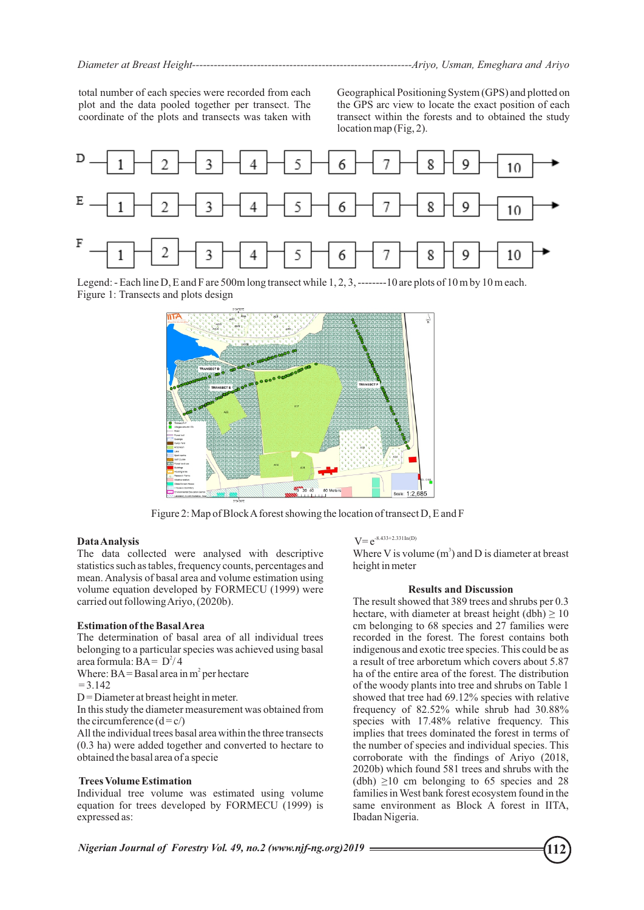total number of each species were recorded from each plot and the data pooled together per transect. The coordinate of the plots and transects was taken with

Geographical Positioning System (GPS) and plotted on the GPS arc view to locate the exact position of each transect within the forests and to obtained the study location map (Fig, 2).



Figure 1: Transects and plots design Legend: - Each line D, E and F are 500m long transect while 1, 2, 3, --------10 are plots of 10 m by 10 m each.



Figure 2: Map of Block Aforest showing the location of transect D, E and F

# **Data Analysis**

The data collected were analysed with descriptive statistics such as tables, frequency counts, percentages and mean. Analysis of basal area and volume estimation using volume equation developed by FORMECU (1999) were carried out following Ariyo, (2020b).

# **Estimation of the Basal Area**

The determination of basal area of all individual trees belonging to a particular species was achieved using basal area formula:  $BA = D^2/4$ 

Where:  $BA = Basal area in m<sup>2</sup> per hectare$ 

$$
=3.142
$$

 $D =$ Diameter at breast height in meter.

In this study the diameter measurement was obtained from the circumference  $(d = c)$ 

All the individual trees basal area within the three transects (0.3 ha) were added together and converted to hectare to obtained the basal area of a specie

# **Trees Volume Estimation**

Individual tree volume was estimated using volume equation for trees developed by FORMECU (1999) is expressed as:

# $V=e^{-8.433+2.331 \ln(D)}$

Where V is volume  $(m<sup>3</sup>)$  and D is diameter at breast height in meter

# **Results and Discussion**

The result showed that 389 trees and shrubs per 0.3 hectare, with diameter at breast height (dbh)  $\geq 10$ cm belonging to 68 species and 27 families were recorded in the forest. The forest contains both indigenous and exotic tree species. This could be as a result of tree arboretum which covers about 5.87 ha of the entire area of the forest. The distribution of the woody plants into tree and shrubs on Table 1 showed that tree had 69.12% species with relative frequency of 82.52% while shrub had 30.88% species with 17.48% relative frequency. This implies that trees dominated the forest in terms of the number of species and individual species. This corroborate with the findings of Ariyo (2018, 2020b) which found 581 trees and shrubs with the (dbh)  $\geq$ 10 cm belonging to 65 species and 28 families in West bank forest ecosystem found in the same environment as Block A forest in IITA, Ibadan Nigeria.

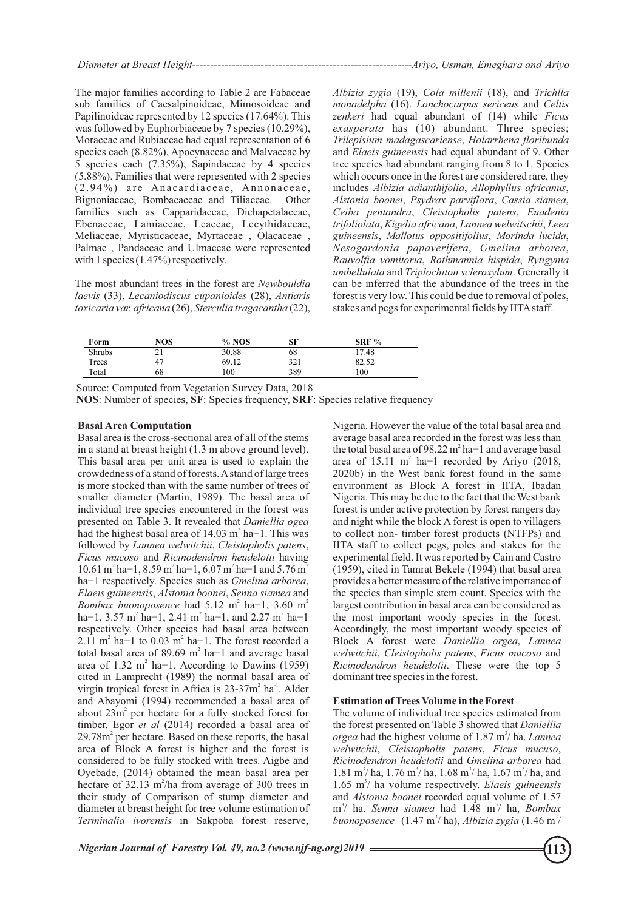The major families according to Table 2 are Fabaceae sub families of Caesalpinoideae, Mimosoideae and Papilinoideae represented by 12 species (17.64%). This was followed by Euphorbiaceae by 7 species (10.29%), Moraceae and Rubiaceae had equal representation of 6 species each (8.82%), Apocynaceae and Malvaceae by 5 species each (7.35%), Sapindaceae by 4 species (5.88%). Families that were represented with 2 species  $(2.94\%)$  are Anacardiaceae, Annonaceae, Bignoniaceae, Bombacaceae and Tiliaceae. Other families such as Capparidaceae, Dichapetalaceae, Ebenaceae, Lamiaceae, Leaceae, Lecythidaceae, Meliaceae, Myristicaceae, Myrtaceae , Olacaceae , Palmae , Pandaceae and Ulmaceae were represented with 1 species (1.47%) respectively.

The most abundant trees in the forest are *Newbouldia laevis* (33), *Lecaniodiscus cupanioides* (28), *Antiaris toxicaria var. africana* (26), *Sterculia tragacantha* (22), *Albizia zygia* (19), *Cola millenii* (18), and *Trichlla monadelpha* (16). *Lonchocarpus sericeus* and *Celtis zenkeri* had equal abundant of (14) while *Ficus exasperata* has (10) abundant. Three species; *Trilepisium madagascariense*, *Holarrhena floribunda* and *Elaeis guineensis* had equal abundant of 9. Other tree species had abundant ranging from 8 to 1. Species which occurs once in the forest are considered rare, they includes *Albizia adianthifolia*, *Allophyllus africanus*, *Alstonia boonei*, *Psydrax parviflora*, *Cassia siamea*, *Ceiba pentandra*, *Cleistopholis patens*, *Euadenia trifoliolata*, *Kigelia africana*, *Lannea welwitschii*, *Leea guineensis*, *Mallotus oppositifolius*, *Morinda lucida*, *Nesogordonia papaverifera*, *Gmelina arborea*, *Rauvolfia vomitoria*, *Rothmannia hispida*, *Rytigynia umbellulata* and *Triplochiton scleroxylum*. Generally it can be inferred that the abundance of the trees in the forest is very low. This could be due to removal of poles, stakes and pegs for experimental fields by IITA staff.

| Form          | NOS | $%$ NOS | SF  | $SRF\%$ |
|---------------|-----|---------|-----|---------|
| <b>Shrubs</b> | 21  | 30.88   | 68  | 17.48   |
| Trees         | 47  | 69.12   | 321 | 82.52   |
| Total         | 68  | 100     | 389 | 100     |

Source: Computed from Vegetation Survey Data, 2018

**NOS**: Number of species, **SF**: Species frequency, **SRF**: Species relative frequency

#### **Basal Area Computation**

Basal area is the cross-sectional area of all of the stems in a stand at breast height (1.3 m above ground level). This basal area per unit area is used to explain the crowdedness of a stand of forests. Astand of large trees is more stocked than with the same number of trees of smaller diameter (Martin, 1989). The basal area of individual tree species encountered in the forest was presented on Table 3. It revealed that *Daniellia ogea* had the highest basal area of 14.03 m<sup>2</sup> ha−1. This was followed by *Lannea welwitchii*, *Cleistopholis patens*, *Ficus mucoso* and *Ricinodendron heudelotii* having  $10.61 \text{ m}^2 \text{ ha} - 1$ ,  $8.59 \text{ m}^2 \text{ ha} - 1$ ,  $6.07 \text{ m}^2 \text{ ha} - 1$  and  $5.76 \text{ m}^2$ ha−1 respectively. Species such as *Gmelina arborea*, *Elaeis guineensis*, *Alstonia boonei*, *Senna siamea* and *Bombax buonoposence* had 5.12 m<sup>2</sup> ha−1, 3.60 m<sup>2</sup> ha–1, 3.57 m<sup>2</sup> ha–1, 2.41 m<sup>2</sup> ha–1, and 2.27 m<sup>2</sup> ha–1 respectively. Other species had basal area between 2.11 m<sup>2</sup> ha−1 to 0.03 m<sup>2</sup> ha−1. The forest recorded a total basal area of 89.69 m<sup>2</sup> ha−1 and average basal area of 1.32 m<sup>2</sup> ha−1. According to Dawins (1959) cited in Lamprecht (1989) the normal basal area of virgin tropical forest in Africa is  $23-37m^2$  ha<sup>-1</sup>. Alder and Abayomi (1994) recommended a basal area of about  $23m^2$  per hectare for a fully stocked forest for timber. Egor *et al* (2014) recorded a basal area of 29.78m<sup>2</sup> per hectare. Based on these reports, the basal area of Block A forest is higher and the forest is considered to be fully stocked with trees. Aigbe and Oyebade, (2014) obtained the mean basal area per hectare of 32.13  $m^2/ha$  from average of 300 trees in their study of Comparison of stump diameter and diameter at breast height for tree volume estimation of *Terminalia ivorensis* in Sakpoba forest reserve,

Nigeria. However the value of the total basal area and average basal area recorded in the forest was less than the total basal area of 98.22  $m^2$  ha–1 and average basal area of 15.11 m<sup>2</sup> ha−1 recorded by Ariyo (2018, 2020b) in the West bank forest found in the same environment as Block A forest in IITA, Ibadan Nigeria. This may be due to the fact that the West bank forest is under active protection by forest rangers day and night while the block A forest is open to villagers to collect non- timber forest products (NTFPs) and IITA staff to collect pegs, poles and stakes for the experimental field. It was reported by Cain and Castro (1959), cited in Tamrat Bekele (1994) that basal area provides a better measure of the relative importance of the species than simple stem count. Species with the largest contribution in basal area can be considered as the most important woody species in the forest. Accordingly, the most important woody species of Block A forest were *Daniellia orgea*, *Lannea welwitchii*, *Cleistopholis patens*, *Ficus mucoso* and *Ricinodendron heudelotii*. These were the top 5 dominant tree species in the forest.

## **Estimation of Trees Volume in the Forest**

The volume of individual tree species estimated from the forest presented on Table 3 showed that *Daniellia orgea* had the highest volume of 1.87 m<sup>3</sup>/ ha. *Lannea welwitchii*, *Cleistopholis patens*, *Ficus mucuso*, *Ricinodendron heudelotii* and *Gmelina arborea* had  $1.81 \text{ m}^3/\text{ha}$ ,  $1.76 \text{ m}^3/\text{ha}$ ,  $1.68 \text{ m}^3/\text{ha}$ ,  $1.67 \text{ m}^3/\text{ha}$ , and 1.65 m<sup>3</sup>/ ha volume respectively. *Elaeis guineensis* and *Alstonia boonei* recorded equal volume of 1.57 m<sup>3</sup>/ ha. *Senna siamea* had 1.48 m<sup>3</sup>/ ha, *Bombax buonoposence* (1.47 m<sup>3</sup>/ ha), *Albizia zygia* (1.46 m<sup>3</sup>/

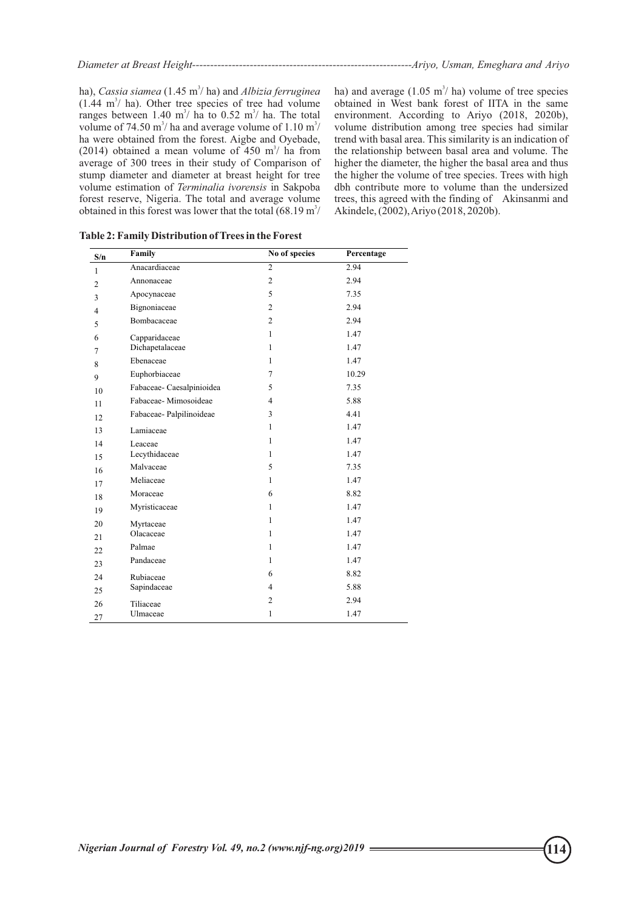|--|--|--|--|--|

ha), *Cassia siamea* (1.45 m<sup>3</sup>/ ha) and *Albizia ferruginea*  $(1.44 \text{ m}^3/\text{ha})$ . Other tree species of tree had volume ranges between  $1.40 \text{ m}^3$  ha to  $0.52 \text{ m}^3$  ha. The total volume of 74.50 m<sup>3</sup>/ ha and average volume of  $1.10 \text{ m}^3$ / ha were obtained from the forest. Aigbe and Oyebade, (2014) obtained a mean volume of 450 m<sup>3</sup>/ ha from average of 300 trees in their study of Comparison of stump diameter and diameter at breast height for tree volume estimation of *Terminalia ivorensis* in Sakpoba forest reserve, Nigeria. The total and average volume obtained in this forest was lower that the total  $(68.19 \text{ m}^3)$ 

ha) and average  $(1.05 \text{ m}^3/\text{ha})$  volume of tree species obtained in West bank forest of IITA in the same environment. According to Ariyo (2018, 2020b), volume distribution among tree species had similar trend with basal area. This similarity is an indication of the relationship between basal area and volume. The higher the diameter, the higher the basal area and thus the higher the volume of tree species. Trees with high dbh contribute more to volume than the undersized trees, this agreed with the finding of Akinsanmi and Akindele, (2002), Ariyo (2018, 2020b).

| S/n            | Family                    | No of species  | Percentage |
|----------------|---------------------------|----------------|------------|
| $\mathbf{1}$   | Anacardiaceae             | $\overline{c}$ | 2.94       |
| $\overline{c}$ | Annonaceae                | 2              | 2.94       |
| 3              | Apocynaceae               | 5              | 7.35       |
| $\overline{4}$ | Bignoniaceae              | $\overline{2}$ | 2.94       |
| 5              | Bombacaceae               | $\overline{2}$ | 2.94       |
| 6              | Capparidaceae             | $\mathbf{1}$   | 1.47       |
| 7              | Dichapetalaceae           | $\mathbf{1}$   | 1.47       |
| 8              | Ebenaceae                 | $\mathbf{1}$   | 1.47       |
| 9              | Euphorbiaceae             | $\tau$         | 10.29      |
| 10             | Fabaceae- Caesalpinioidea | 5              | 7.35       |
| 11             | Fabaceae-Mimosoideae      | 4              | 5.88       |
| 12             | Fabaceae-Palpilinoideae   | 3              | 4.41       |
| 13             | Lamiaceae                 | $\mathbf{1}$   | 1.47       |
| 14             | Leaceae                   | $\mathbf{1}$   | 1.47       |
| 15             | Lecythidaceae             | 1              | 1.47       |
| 16             | Malvaceae                 | 5              | 7.35       |
| 17             | Meliaceae                 | $\mathbf{1}$   | 1.47       |
| 18             | Moraceae                  | 6              | 8.82       |
| 19             | Myristicaceae             | $\mathbf{1}$   | 1.47       |
| 20             | Myrtaceae                 | $\mathbf{1}$   | 1.47       |
| 21             | Olacaceae                 | $\mathbf{1}$   | 1.47       |
| 22             | Palmae                    | 1              | 1.47       |
| 23             | Pandaceae                 | $\mathbf{1}$   | 1.47       |
| 24             | Rubiaceae                 | 6              | 8.82       |
| 25             | Sapindaceae               | $\overline{4}$ | 5.88       |
| 26             | Tiliaceae                 | $\overline{2}$ | 2.94       |
| 27             | Ulmaceae                  | $\mathbf{1}$   | 1.47       |

**Table 2: Family Distribution of Trees in the Forest**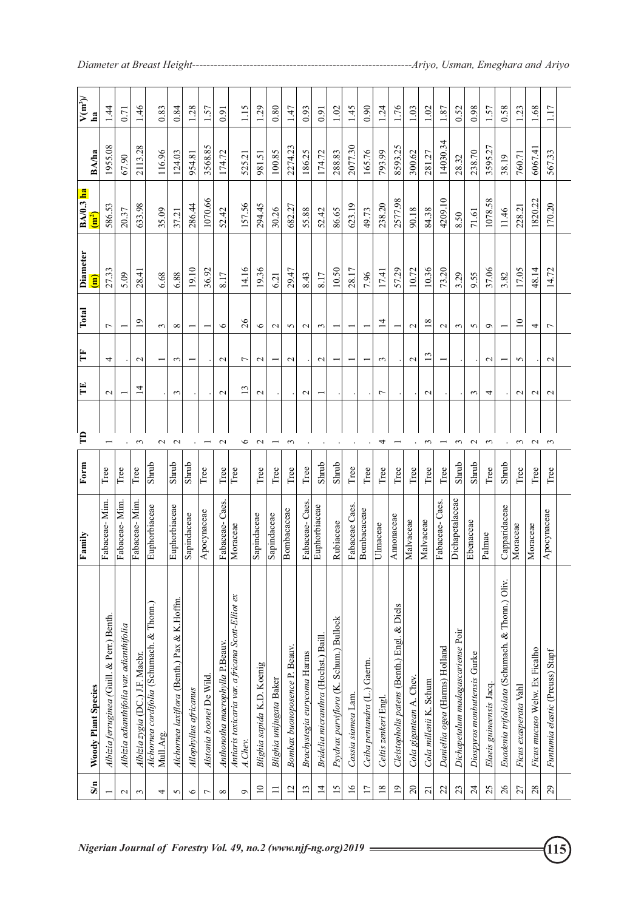| S/m               | Woody Plant Species                                          | Family          | Form          | $\mathbf{B}$             | Ë                 | Ě                  | Total           | Diameter<br>Ē | $BA/0.3$ ha<br>$\mathbf{m}^2$ | BA/ha    | $V(m^3)$<br>ha |
|-------------------|--------------------------------------------------------------|-----------------|---------------|--------------------------|-------------------|--------------------|-----------------|---------------|-------------------------------|----------|----------------|
|                   | Albizia ferruginea (Guill. & Perr.) Benth.                   | Fabaceae-Mim.   | Tree          |                          | $\mathbf{c}$      | 4                  | $\overline{ }$  | 27.33         | 586.53                        | 1955.08  | 1.44           |
| $\mathbf{\Omega}$ | Albizia adianthifolia var. adianthifolia                     | Fabaceae-Mim    | Tree          |                          |                   |                    |                 | 5.09          | 20.37                         | 67.90    | 0.71           |
| 3                 | Albizia zygia (DC.) J.F. Macbr.                              | Fabaceae-Mim.   | Tree          | $\mathfrak{c}$           | $\overline{4}$    | $\mathbf{C}$       | $\frac{1}{2}$   | 28.41         | 633.98                        | 2113.28  | 1.46           |
| 4                 | Alchornea cordifolia (Schumach. & Thonn.)<br>Mull.Arg.       | Euphorbiaceae   | Shrub         | $\sim$                   |                   |                    | $\mathfrak{c}$  | 6.68          | 35.09                         | 116.96   | 0.83           |
| 5                 | 4lchornea laxiflora (Benth.) Pax & K.Hoffm                   | Euphorbiaceae   | Shrub         | $\mathbf{C}$             | 3                 | $\mathbf{\hat{z}}$ | $^{\circ}$      | 6.88          | 37.21                         | 124.03   | 0.84           |
| $\circ$           | Allophyllus africanus                                        | Sapindaceae     | Shrub         |                          |                   |                    |                 | 19.10         | 286.44                        | 954.81   | 1.28           |
| 7                 | Alstonia boonei De Wild.                                     | Apocynaceae     | Tree          |                          |                   |                    |                 | 36.92         | 1070.66                       | 3568.85  | 1.57           |
| $\infty$          | Anthonotha macrophylla P.Beauv.                              | Fabaceae-Caes   | Tree          | $\mathbf 2$              | $\mathbf 2$       | $\mathbf 2$        | $\circ$         | 8.17          | 52.42                         | 174.72   | 0.91           |
| Ó                 | Antiaris toxicaria var. a fricana Scott-Elliot ex<br>A.Chev. | Moraceae        | Tree          | $\circ$                  | 13                | $\overline{ }$     | 26              | 14.16         | 157.56                        | 525.21   | 1.15           |
| $\supseteq$       | Blighia sapida K.D. Koenig                                   | Sapindaceae     | Tree          | $\mathcal{L}$            | $\mathbf{c}$      | $\sim$             | $\circ$         | 19.36         | 294.45                        | 981.51   | 1.29           |
| Ξ                 | Blighia unijugata Baker                                      | Sapindaceae     | Tree          |                          |                   |                    | $\sim$          | 6.21          | 30.26                         | 100.85   | 0.80           |
| $\overline{2}$    | Bombax buonoposence P. Beauv.                                | Bombacaceae     | Tree          | $\sim$                   |                   | $\mathbf{C}$       | $\sim$          | 29.47         | 682.27                        | 2274.23  | 1.47           |
| 13                | Brachystegia eurycoma Harms                                  | Fabaceae-Caes.  | Tree          |                          | $\mathbf{\sim}$   |                    | $\mathbf{c}$    | 8.43          | 55.88                         | 186.25   | 0.93           |
| $\overline{4}$    | Bridelia micranthra (Hochst.) Baill.                         | Euphorbiaceae   | Shrub         |                          |                   | $\mathbf{\Omega}$  | $\mathfrak{g}$  | 8.17          | 52.42                         | 174.72   | 0.91           |
| $\overline{15}$   | Psydrax parviflora (K. Schum.) Bullock                       | Rubiaceae       | Shrub         |                          |                   |                    |                 | 10.50         | 86.65                         | 288.83   | 1.02           |
| $\overline{16}$   | Cassia siamea Lam.                                           | Fabaceae Caes.  | Tree          |                          |                   |                    |                 | 28.17         | 623.19                        | 2077.30  | 1.45           |
| $\overline{17}$   | Ceiba pentandra (L.) Gaertn.                                 | Bombacaceae     | $_{\rm Tree}$ |                          |                   |                    |                 | 7.96          | 49.73                         | 165.76   | 0.90           |
| $\overline{18}$   | Celtis zenkeri Engl.                                         | Ulmaceae        | Tree          | 4                        | 7                 | $\mathfrak{c}$     | $\overline{4}$  | 17.41         | 238.20                        | 793.99   | 1.24           |
| $\overline{9}$    | Cleistopholis patens (Benth.) Engl. & Diels                  | Amonaceae       | $_{\rm Tree}$ |                          |                   |                    |                 | 57.29         | 2577.98                       | 8593.25  | 1.76           |
| $\Omega$          | Cola gigantean A. Chev.                                      | Malvaceae       | Tree          |                          |                   | $\mathbf{C}$       | $\mathbf{C}$    | 10.72         | 90.18                         | 300.62   | 1.03           |
| $\overline{z}$    | Cola millenii K. Schum                                       | Malvaceae       | Tree          | $\sim$                   | $\mathbf{\sim}$   | 13                 | $\overline{18}$ | 10.36         | 84.38                         | 281.27   | 1.02           |
| 22                | Daniellia ogea (Harms) Holland                               | Fabaceae-Caes.  | Tree          | $\overline{\phantom{0}}$ |                   |                    | $\mathbf{C}$    | 73.20         | 4209.10                       | 14030.34 | 1.87           |
| $\mathfrak{L}$    | Dichapetalum madagascariense Poir                            | Dichapetalaceae | Shrub         | $\sim$                   |                   |                    | $\epsilon$      | 3.29          | 8.50                          | 28.32    | 0.52           |
| $\overline{24}$   | Diospyros monbuttensis Gurke                                 | Ebenaceae       | Shrub         | $\sim$                   | 3                 |                    | 5               | 9.55          | 71.61                         | 238.70   | 0.98           |
| 25                | Elaeis guineensis Jacq.                                      | Palmae          | Tree          | $\epsilon$               | 4                 | $\mathbf 2$        | $\circ$         | 37.06         | 1078.58                       | 3595.27  | 1.57           |
| $\delta$          | Euadenia trifoliolata (Schumach. & Thonn.) Oliv.             | Capparidaceae   | Shrub         |                          |                   |                    |                 | 3.82          | 11.46                         | 38.19    | 0.58           |
| 27                | Ficus exasperata Vahl                                        | Moraceae        | $_{\rm Tree}$ | $\epsilon$               | $\mathbf{\Omega}$ | 5                  | $\overline{10}$ | 17.05         | 228.21                        | 760.71   | 1.23           |
| 28                | Ficus mucuso Welw. Ex Ficalho                                | Moraceae        | Tree          | $\sim$                   | $\mathbf{\sim}$   |                    | 4               | 48.14         | 1820.22                       | 6067.41  | 1.68           |
| 29                | Funtumia elastic (Preuss) Stapf                              | Аросупасеае     | Tree          | $\sim$                   | $\mathbf{\sim}$   | $\mathbf 2$        | $\overline{ }$  | 14.72         | 170.20                        | 567.33   | 1.17           |
|                   |                                                              |                 |               |                          |                   |                    |                 |               |                               |          |                |

*Diameter at Breast Height-------------------------------------------------------------Ariyo, Usman, Emeghara and Ariyo*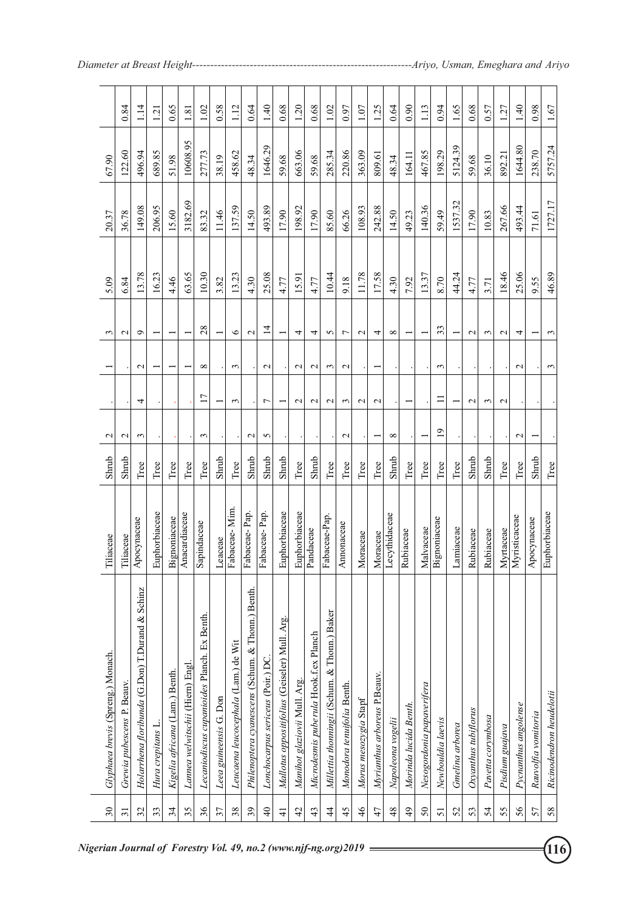| 30              | Glyphaea brevis (Spreng.) Monach.                | Tiliaceae     | Shrub | $\mathbf{\Omega}$ |                 |                   | ç              | 5.09  | 20.37   | 67.90    |                |
|-----------------|--------------------------------------------------|---------------|-------|-------------------|-----------------|-------------------|----------------|-------|---------|----------|----------------|
| $\overline{31}$ | Grewia pubescens P. Beauv.                       | Tiliaceae     | Shrub | $\mathcal{L}$     |                 |                   | $\mathcal{L}$  | 6.84  | 36.78   | 122.60   | 0.84           |
| 32              | Holarrhena floribunda (G.Don) T.Durand & Schinz  | Аросупасеае   | Tree  | $\epsilon$        | 4               | $\mathbf 2$       | O              | 13.78 | 149.08  | 496.94   | $\frac{4}{11}$ |
| 33              | Hura crepitans L.                                | Euphorbiaceae | Tree  |                   |                 |                   |                | 16.23 | 206.95  | 689.85   | 1.21           |
| 34              | Kigelia africana (Lam.) Benth.                   | Bignoniaceae  | Tree  |                   |                 |                   |                | 4.46  | 15.60   | 51.98    | 0.65           |
| 35              | Lannea welwitschii (Hiern) Engl.                 | Anacardiaceae | Tree  |                   |                 |                   |                | 63.65 | 3182.69 | 10608.95 | 1.81           |
| 36              | Lecaniodiscus cupanioides Planch. Ex Benth.      | Sapindaceae   | Tree  | 3                 | $\overline{1}$  | $^{\circ}$        | 28             | 10.30 | 83.32   | 277.73   | 1.02           |
| 37              | Leea guineensis G. Don                           | Leaceae       | Shrub |                   |                 |                   |                | 3.82  | 11.46   | 38.19    | 0.58           |
| 38              | Leucaena leucocephala (Lam.) de Wit              | Fabaceae-Mim. | Tree  |                   | 3               | 3                 | $\circ$        | 13.23 | 137.59  | 458.62   | 112            |
| 39              | Philenoptera cyanescens (Schum. & Thonn.) Benth. | Fabaceae-Pap. | Shrub | $\mathbf{\Omega}$ |                 |                   | $\mathbf{C}$   | 4.30  | 14.50   | 48.34    | 0.64           |
| $\overline{a}$  | Lonchocarpus sericeus (Poir.) DC.                | Fabaceae-Pap. | Shrub | 5                 | 7               | $\mathcal{L}$     | $\overline{4}$ | 25.08 | 493.89  | 1646.29  | 1.40           |
| $\frac{4}{5}$   | Mallotus oppositifolius (Geiseler) Mull. Arg.    | Euphorbiaceae | Shrub |                   |                 |                   |                | 4.77  | 17.90   | 59.68    | 0.68           |
| 42              | Manihot glaziovii Mull. Arg.                     | Euphorbiaceae | Tree  |                   | $\mathbf{\sim}$ | $\mathbf{C}$      | 4              | 15.91 | 198.92  | 663.06   | 1.20           |
| 43              | Microdesmis puberula Hook.f.ex Planch            | Pandaceae     | Shrub |                   | $\mathcal{L}$   | $\mathbf{\Omega}$ | 4              | 4.77  | 17.90   | 59.68    | 0.68           |
| $\frac{4}{4}$   | Millettia thonningii (Schum. & Thonn.) Baker     | Fabaceae-Pap. | Tree  |                   | $\mathcal{L}$   | $\epsilon$        | 5              | 10.44 | 85.60   | 285.34   | 1.02           |
| 45              | Monodora tenuifolia Benth.                       | Annonaceae    | Tree  | $\mathcal{L}$     | 3               | $\mathbf{\sim}$   | 7              | 9.18  | 66.26   | 220.86   | 0.97           |
| 46              | Morus mesozygia Stapf                            | Moraceae      | Tree  |                   | $\mathcal{L}$   |                   | $\mathbf 2$    | 11.78 | 108.93  | 363.09   | 1.07           |
| 47              | Myrianthus arboreus P.Beauv.                     | Moraceae      | Tree  |                   | $\mathcal{L}$   |                   | 4              | 17.58 | 242.88  | 809.61   | 1.25           |
| 48              | Napoleona vogelii                                | Lecythidaceae | Shrub | ${}^{\circ}$      |                 |                   | $\infty$       | 4.30  | 14.50   | 48.34    | 0.64           |
| 49              | Morinda lucida Benth.                            | Rubiaceae     | Tree  |                   |                 |                   |                | 7.92  | 49.23   | 164.11   | 0.90           |
| $50\,$          | Nesogordonia papaverifera                        | Malvaceae     | Tree  |                   |                 |                   |                | 13.37 | 140.36  | 467.85   | 1.13           |
| 51              | Newbouldia laevis                                | Bignoniaceae  | Tree  | $\overline{19}$   | Ξ               | $\epsilon$        | 33             | 8.70  | 59.49   | 198.29   | 0.94           |
| 52              | Gmelina arborea                                  | Lamiaceae     | Tree  |                   |                 |                   |                | 44.24 | 1537.32 | 5124.39  | 1.65           |
| 53              | Oxyanthus tubiflorus                             | Rubiaceae     | Shrub |                   | $\mathcal{L}$   |                   | $\mathcal{L}$  | 4.77  | 17.90   | 59.68    | 0.68           |
| 54              | Pavetta corymbosa                                | Rubiaceae     | Shrub |                   | ξ               |                   | 3              | 3.71  | 10.83   | 36.10    | 0.57           |
| 55              | Pisdium guajava                                  | Myrtaceae     | Tree  |                   | $\mathbf{\sim}$ |                   | $\mathbf 2$    | 18.46 | 267.66  | 892.21   | 1.27           |
| 56              | Pycnanthus angolense                             | Myristicaceae | Tree  | $\mathcal{L}$     |                 | $\mathcal{L}$     | 4              | 25.06 | 493.44  | 1644.80  | 1.40           |
| 57              | Rauvolfia vomitoria                              | Аросупасеае   | Shrub |                   |                 |                   |                | 9.55  | 71.61   | 238.70   | 0.98           |
| 58              | Ricinodendron heudelotii                         | Euphorbiaceae | Tree  |                   |                 | 3                 | 3              | 46.89 | 1727.17 | 5757.24  | 1.67           |

*Diameter at Breast Height-------------------------------------------------------------Ariyo, Usman, Emeghara and Ariyo*

*Nigerian Journal of Forestry Vol. 49, no.2 (www.njf-ng.org)2019* **116 116**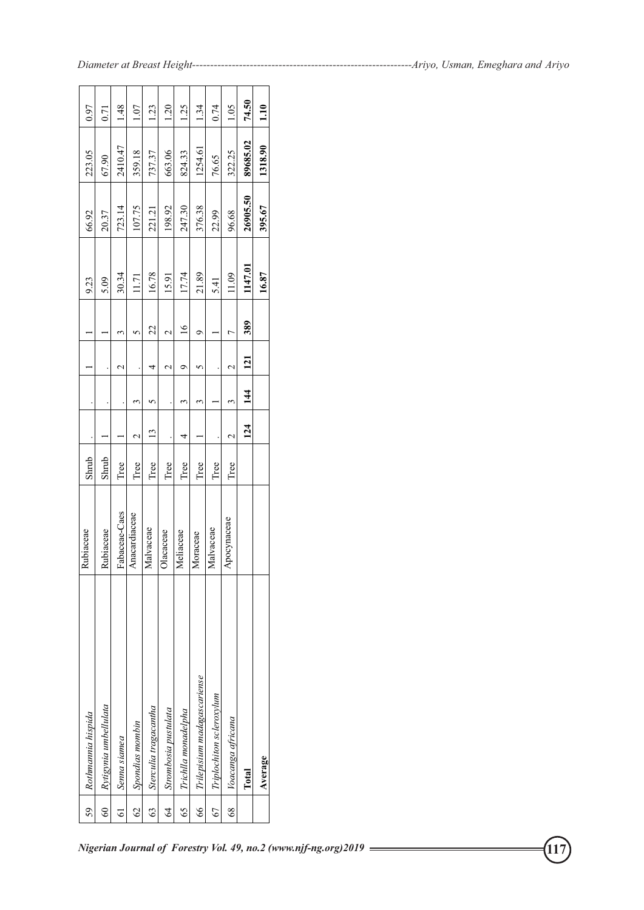| 59             | Rothmannia hispida          | Rubiaceae     | Shrub |                    |               |                  |                | 9.23    | 66.92    | 223.05   | 0.97             |
|----------------|-----------------------------|---------------|-------|--------------------|---------------|------------------|----------------|---------|----------|----------|------------------|
| $\Im$          | Rytigynia umbellulata       | Rubiaceae     | Shrub |                    |               |                  |                | 5.09    | 20.37    | 67.90    | 0.71             |
| 61             | Senna siamea                | Fabaceae-Caes | Tree  |                    |               | $\mathrel{\sim}$ | 3              | 30.34   | 723.14   | 2410.47  | $\frac{48}{5}$   |
| $\mathcal{S}$  | Spondias mombin             | Anacardiaceae | Tree  | $\scriptstyle\sim$ | 3             |                  | 5              | 11.71   | 107.75   | 359.18   | 0.1              |
| G3             | Sterculia tragacantha       | Malvaceae     | Tree  | 13                 | ∽             | 4                | 22             | 16.78   | 221.21   | 737.37   | 123              |
| $\overline{6}$ | Strombosia pustulata        | Olacaceae     | Tree  |                    |               | $\mathbf 2$      | $\mathcal{C}$  | 15.91   | 198.92   | 663.06   | $\overline{051}$ |
| 65             | Trichlla monadelpha         | Meliaceae     | Tree  | 4                  | 3             | σ                | $\overline{6}$ | 17.74   | 247.30   | 824.33   | 1.25             |
| 66             | Trilepisium madagascariense | Moraceae      | Tree  |                    | 3             |                  | σ              | 21.89   | 376.38   | 1254.61  | 1.34             |
| 67             | Triplochiton scleroxylum    | Malvaceae     | Tree  |                    |               |                  |                | 5.41    | 22.99    | 76.65    | 0.74             |
| $\frac{8}{3}$  | Voacanga africana           | Аросупасеае   | Tree  | $\mathcal{C}$      | ς             | $\mathrel{\sim}$ | r              | 11.09   | 96.68    | 322.25   | 105              |
|                | Total                       |               |       | 124                | $\frac{4}{4}$ | 121              | 389            | 1147.01 | 26905.50 | 89685.02 | 74.50            |
|                | Average                     |               |       |                    |               |                  |                | 16.87   | 395.67   | 1318.90  | 1.10             |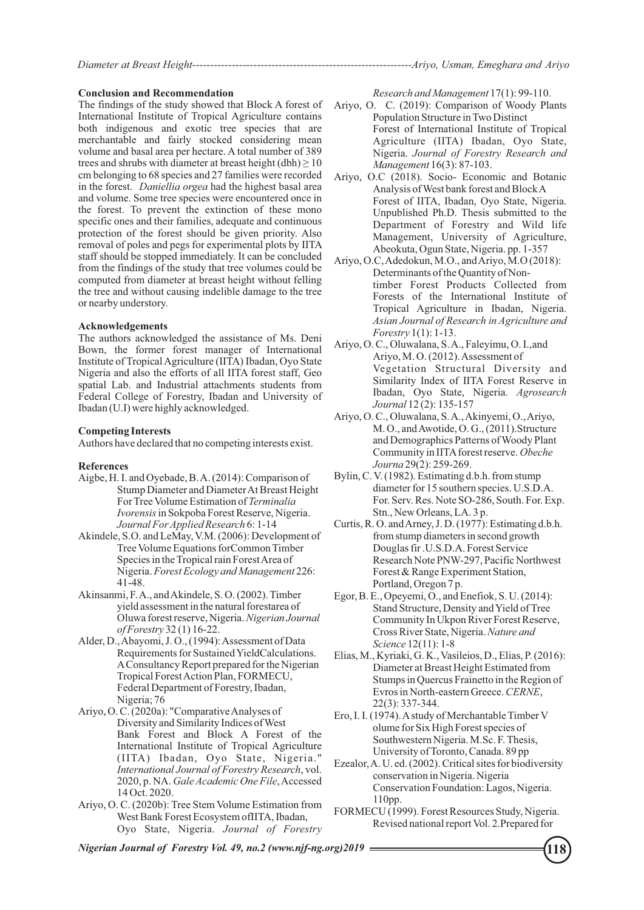#### **Conclusion and Recommendation**

The findings of the study showed that Block A forest of International Institute of Tropical Agriculture contains both indigenous and exotic tree species that are merchantable and fairly stocked considering mean volume and basal area per hectare. A total number of 389 trees and shrubs with diameter at breast height  $(dbh) \ge 10$ cm belonging to 68 species and 27 families were recorded in the forest. *Daniellia orgea* had the highest basal area and volume. Some tree species were encountered once in the forest. To prevent the extinction of these mono specific ones and their families, adequate and continuous protection of the forest should be given priority. Also removal of poles and pegs for experimental plots by IITA staff should be stopped immediately. It can be concluded from the findings of the study that tree volumes could be computed from diameter at breast height without felling the tree and without causing indelible damage to the tree or nearby understory.

## **Acknowledgements**

The authors acknowledged the assistance of Ms. Deni Bown, the former forest manager of International Institute of Tropical Agriculture (IITA) Ibadan, Oyo State Nigeria and also the efforts of all IITA forest staff, Geo spatial Lab. and Industrial attachments students from Federal College of Forestry, Ibadan and University of Ibadan (U.I) were highly acknowledged.

## **Competing Interests**

Authors have declared that no competing interests exist.

#### **References**

- Aigbe, H. I. and Oyebade, B. A. (2014): Comparison of For Tree Volume Estimation of *Terminalia Journal For Applied Research* 6: 1-14 *Ivorensis* in Sokpoba Forest Reserve, Nigeria. Stump Diameter and Diameter At Breast Height
- Tree Volume Equations forCommon Timber Species in the Tropical rain Forest Area of 41-48. Nigeria. *Forest Ecology and Management* 226: Akindele, S.O. and LeMay, V.M. (2006): Development of
- Oluwa forest reserve, Nigeria. *Nigerian Journal*  Akinsanmi, F. A., and Akindele, S. O. (2002). Timber yield assessment in the natural forestarea of *of Forestry* 32 (1) 16-22.
- Alder, D., Abayomi, J. O., (1994): Assessment of Data Requirements for Sustained YieldCalculations. AConsultancy Report prepared for the Nigerian Tropical Forest Action Plan, FORMECU, Federal Department of Forestry, Ibadan, Nigeria; 76
- Ariyo, O. C. (2020a): "Comparative Analyses of Diversity and Similarity Indices of West Bank Forest and Block A Forest of the International Institute of Tropical Agriculture (IITA) Ibadan, Oyo State, Nigeria." *International Journal of Forestry Research*, vol. 2020, p. NA. *Gale Academic One File*, Accessed 14 Oct. 2020.
- Ariyo, O. C. (2020b): Tree Stem Volume Estimation from West Bank Forest Ecosystem ofIITA, Ibadan, Oyo State, Nigeria. *Journal of Forestry*

*Research and Management* 17(1): 99-110.

- Ariyo, O. C. (2019): Comparison of Woody Plants Population Structure in Two Distinct Forest of International Institute of Tropical Agriculture (IITA) Ibadan, Oyo State, Nigeria. *Journal of Forestry Research and Management* 16(3): 87-103.
- Ariyo, O.C (2018). Socio- Economic and Botanic Analysis of West bank forest and Block A Forest of IITA, Ibadan, Oyo State, Nigeria. Unpublished Ph.D. Thesis submitted to the Department of Forestry and Wild life Management, University of Agriculture, Abeokuta, Ogun State, Nigeria. pp. 1-357
- Ariyo, O.C, Adedokun, M.O., and Ariyo, M.O (2018): Determinants of the Quantity of Nontimber Forest Products Collected from Forests of the International Institute of Tropical Agriculture in Ibadan, Nigeria. *Asian Journal of Research in Agriculture and Forestry* 1(1): 1-13.
- Ariyo, O. C., Oluwalana, S. A., Faleyimu, O. I.,and Ariyo, M. O. (2012). Assessment of Vegetation Structural Diversity and Similarity Index of IITA Forest Reserve in Ibadan, Oyo State, Nigeria. *Agrosearch Journal* 12 (2): 135-157
- M. O., and Awotide, O. G., (2011).Structure Community in IITAforest reserve. *Obeche Journa* 29(2): 259-269. Ariyo, O. C., Oluwalana, S. A., Akinyemi, O., Ariyo, and Demographics Patterns of Woody Plant
- diameter for 15 southern species. U.S.D.A. For. Serv. Res. Note SO-286, South. For. Exp. Stn., New Orleans, LA. 3 p. Bylin, C. V. (1982). Estimating d.b.h. from stump
- Douglas fir .U.S.D.A. Forest Service Research Note PNW-297, Pacific Northwest Forest & Range Experiment Station, from stump diameters in second growth Curtis, R. O. and Arney, J. D. (1977): Estimating d.b.h. Portland, Oregon 7 p.
- Egor, B. E., Opeyemi, O., and Enefiok, S. U. (2014): Community In Ukpon River Forest Reserve, Stand Structure, Density and Yield of Tree Cross River State, Nigeria. *Nature and Science* 12(11): 1-8
- Diameter at Breast Height Estimated from 22(3): 337-344. Elias, M., Kyriaki, G. K., Vasileios, D., Elias, P. (2016): Evros in North-eastern Greece. *CERNE*, Stumps in Quercus Frainetto in the Region of
- Southwestern Nigeria. M.Sc. F. Thesis, University of Toronto, Canada. 89 pp Ero, I. I. (1974). Astudy of Merchantable Timber V olume for Six High Forest species of
- 110pp. Conservation Foundation: Lagos, Nigeria. conservation in Nigeria. Nigeria Ezealor, A. U. ed. (2002). Critical sites for biodiversity
- Revised national report Vol. 2.Prepared for FORMECU (1999). Forest Resources Study, Nigeria.

*Nigerian Journal of Forestry Vol. 49, no.2 (www.njf-ng.org)2019* **118**